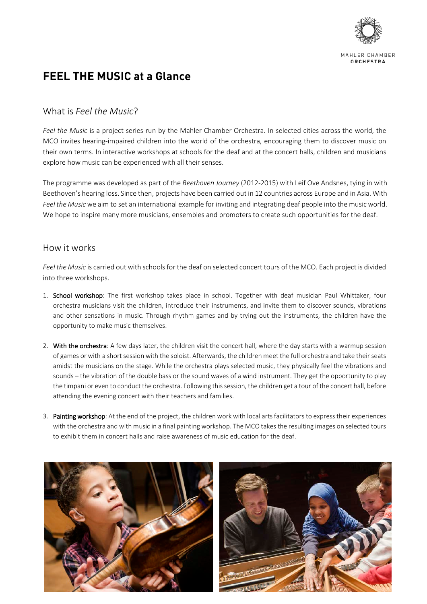

# **FEEL THE MUSIC at a Glance**

## What is *Feel the Music*?

*Feel the Music* is a project series run by the Mahler Chamber Orchestra. In selected cities across the world, the MCO invites hearing-impaired children into the world of the orchestra, encouraging them to discover music on their own terms. In interactive workshops at schools for the deaf and at the concert halls, children and musicians explore how music can be experienced with all their senses.

The programme was developed as part of the *Beethoven Journey* (2012-2015) with Leif Ove Andsnes, tying in with Beethoven's hearing loss. Since then, projects have been carried out in 12 countries across Europe and in Asia. With *Feel the Music* we aim to set an international example for inviting and integrating deaf people into the music world. We hope to inspire many more musicians, ensembles and promoters to create such opportunities for the deaf.

#### How it works

*Feel the Music* is carried out with schools for the deaf on selected concert tours of the MCO. Each project is divided into three workshops.

- 1. School workshop: The first workshop takes place in school. Together with deaf musician Paul Whittaker, four orchestra musicians visit the children, introduce their instruments, and invite them to discover sounds, vibrations and other sensations in music. Through rhythm games and by trying out the instruments, the children have the opportunity to make music themselves.
- 2. With the orchestra: A few days later, the children visit the concert hall, where the day starts with a warmup session of games or with a short session with the soloist. Afterwards, the children meet the full orchestra and take their seats amidst the musicians on the stage. While the orchestra plays selected music, they physically feel the vibrations and sounds – the vibration of the double bass or the sound waves of a wind instrument. They get the opportunity to play the timpani or even to conduct the orchestra. Following this session, the children get a tour of the concert hall, before attending the evening concert with their teachers and families.
- 3. Painting workshop: At the end of the project, the children work with local arts facilitators to express their experiences with the orchestra and with music in a final painting workshop. The MCO takes the resulting images on selected tours to exhibit them in concert halls and raise awareness of music education for the deaf.